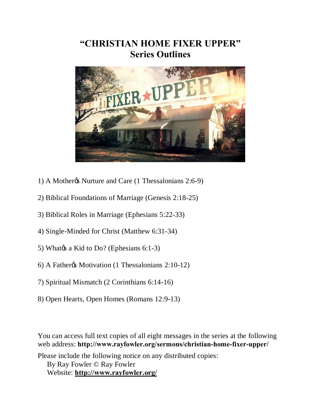# **"CHRISTIAN HOME FIXER UPPER" Series Outlines**



- 1) A Mothergs Nurture and Care (1 Thessalonians 2:6-9)
- 2) Biblical Foundations of Marriage (Genesis 2:18-25)
- 3) Biblical Roles in Marriage (Ephesians 5:22-33)
- 4) Single-Minded for Christ (Matthew 6:31-34)
- 5) What $\alpha$ s a Kid to Do? (Ephesians 6:1-3)
- 6) A Father's Motivation (1 Thessalonians 2:10-12)
- 7) Spiritual Mismatch (2 Corinthians 6:14-16)
- 8) Open Hearts, Open Homes (Romans 12:9-13)

You can access full text copies of all eight messages in the series at the following web address: **http://www.rayfowler.org/sermons/christian-home-fixer-upper/**

Please include the following notice on any distributed copies: By Ray Fowler © Ray Fowler Website: **<http://www.rayfowler.org/>**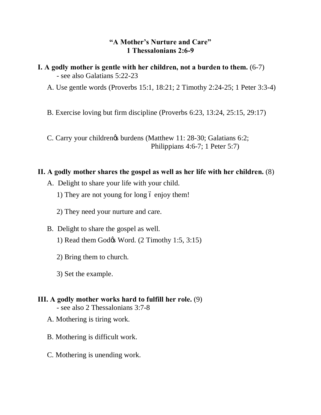## **"A Mother's Nurture and Care" 1 Thessalonians 2:6-9**

**I. A godly mother is gentle with her children, not a burden to them.** (6-7) - see also Galatians 5:22-23

A. Use gentle words (Proverbs 15:1, 18:21; 2 Timothy 2:24-25; 1 Peter 3:3-4)

B. Exercise loving but firm discipline (Proverbs 6:23, 13:24, 25:15, 29:17)

C. Carry your childrengs burdens (Matthew 11: 28-30; Galatians 6:2; Philippians 4:6-7; 1 Peter 5:7)

## **II. A godly mother shares the gospel as well as her life with her children.** (8)

- A. Delight to share your life with your child.
	- 1) They are not young for long 6 enjoy them!
	- 2) They need your nurture and care.
- B. Delight to share the gospel as well. 1) Read them God $\alpha$  Word. (2 Timothy 1:5, 3:15)
	- 2) Bring them to church.
	- 3) Set the example.

# **III. A godly mother works hard to fulfill her role.** (9)

- see also 2 Thessalonians 3:7-8
- A. Mothering is tiring work.
- B. Mothering is difficult work.
- C. Mothering is unending work.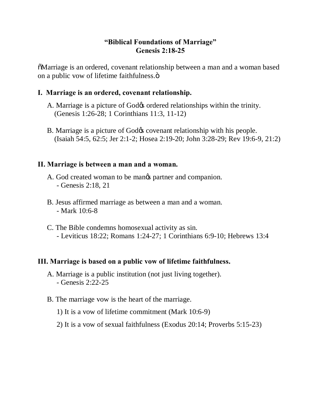# **"Biblical Foundations of Marriage" Genesis 2:18-25**

"Marriage is an ordered, covenant relationship between a man and a woman based on a public vow of lifetime faithfulness. $\ddot{\text{o}}$ 

## **I. Marriage is an ordered, covenant relationship.**

- A. Marriage is a picture of God $\alpha$  ordered relationships within the trinity. (Genesis 1:26-28; 1 Corinthians 11:3, 11-12)
- B. Marriage is a picture of God $\alpha$  covenant relationship with his people. (Isaiah 54:5, 62:5; Jer 2:1-2; Hosea 2:19-20; John 3:28-29; Rev 19:6-9, 21:2)

#### **II. Marriage is between a man and a woman.**

- A. God created woman to be manos partner and companion. - Genesis 2:18, 21
- B. Jesus affirmed marriage as between a man and a woman. - Mark 10:6-8
- C. The Bible condemns homosexual activity as sin. - Leviticus 18:22; Romans 1:24-27; 1 Corinthians 6:9-10; Hebrews 13:4

## **III. Marriage is based on a public vow of lifetime faithfulness.**

- A. Marriage is a public institution (not just living together). - Genesis 2:22-25
- B. The marriage vow is the heart of the marriage.
	- 1) It is a vow of lifetime commitment (Mark 10:6-9)
	- 2) It is a vow of sexual faithfulness (Exodus 20:14; Proverbs 5:15-23)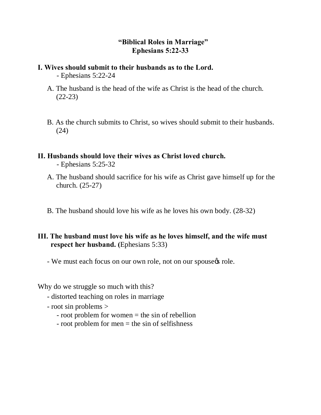# **"Biblical Roles in Marriage" Ephesians 5:22-33**

#### **I. Wives should submit to their husbands as to the Lord.** - Ephesians 5:22-24

- A. The husband is the head of the wife as Christ is the head of the church. (22-23)
- B. As the church submits to Christ, so wives should submit to their husbands. (24)

# **II. Husbands should love their wives as Christ loved church.**

- Ephesians 5:25-32

- A. The husband should sacrifice for his wife as Christ gave himself up for the church. (25-27)
- B. The husband should love his wife as he loves his own body. (28-32)

# **III. The husband must love his wife as he loves himself, and the wife must respect her husband. (**Ephesians 5:33)

- We must each focus on our own role, not on our spouse  $\phi$  role.

Why do we struggle so much with this?

- distorted teaching on roles in marriage
- root sin problems >
	- root problem for women = the sin of rebellion
	- root problem for men = the sin of selfishness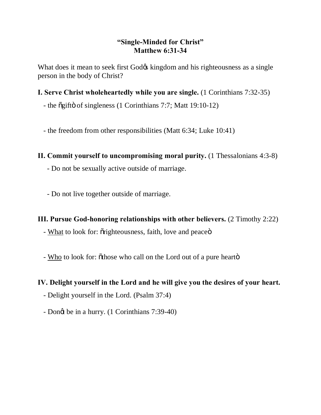## **"Single-Minded for Christ" Matthew 6:31-34**

What does it mean to seek first God $\alpha$  kingdom and his righteousness as a single person in the body of Christ?

- **I. Serve Christ wholeheartedly while you are single.** (1 Corinthians 7:32-35)
	- the  $\tilde{q}$  of singleness (1 Corinthians 7:7; Matt 19:10-12)
	- the freedom from other responsibilities (Matt 6:34; Luke 10:41)
- **II. Commit yourself to uncompromising moral purity.** (1 Thessalonians 4:3-8) - Do not be sexually active outside of marriage.
	- Do not live together outside of marriage.
- **III. Pursue God-honoring relationships with other believers.** (2 Timothy 2:22)
	- What to look for:  $\tilde{o}$ righteousness, faith, love and peace $\ddot{o}$
	- Who to look for:  $\delta$ those who call on the Lord out of a pure hearto

## **IV. Delight yourself in the Lord and he will give you the desires of your heart.**

- Delight yourself in the Lord. (Psalm 37:4)
- Dongt be in a hurry. (1 Corinthians 7:39-40)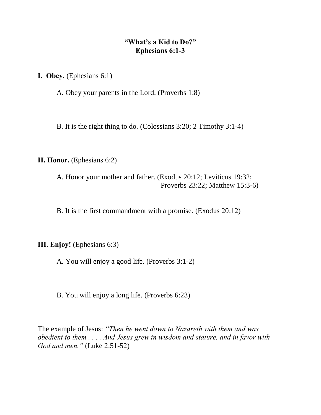## **"What's a Kid to Do?" Ephesians 6:1-3**

**I. Obey.** (Ephesians 6:1)

A. Obey your parents in the Lord. (Proverbs 1:8)

B. It is the right thing to do. (Colossians 3:20; 2 Timothy 3:1-4)

**II. Honor.** (Ephesians 6:2)

A. Honor your mother and father. (Exodus 20:12; Leviticus 19:32; Proverbs 23:22; Matthew 15:3-6)

B. It is the first commandment with a promise. (Exodus 20:12)

**III. Enjoy!** (Ephesians 6:3)

A. You will enjoy a good life. (Proverbs 3:1-2)

B. You will enjoy a long life. (Proverbs 6:23)

The example of Jesus: *"Then he went down to Nazareth with them and was obedient to them . . . . And Jesus grew in wisdom and stature, and in favor with God and men."* (Luke 2:51-52)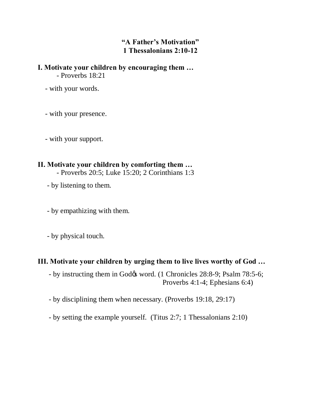# **"A Father's Motivation" 1 Thessalonians 2:10-12**

**I. Motivate your children by encouraging them …** - Proverbs 18:21

- with your words.

- with your presence.

- with your support.

#### **II. Motivate your children by comforting them …**

- Proverbs 20:5; Luke 15:20; 2 Corinthians 1:3

- by listening to them.

- by empathizing with them.

- by physical touch.

## **III. Motivate your children by urging them to live lives worthy of God …**

- by instructing them in God $\alpha$  word. (1 Chronicles 28:8-9; Psalm 78:5-6; Proverbs 4:1-4; Ephesians 6:4)

- by disciplining them when necessary. (Proverbs 19:18, 29:17)

- by setting the example yourself. (Titus 2:7; 1 Thessalonians 2:10)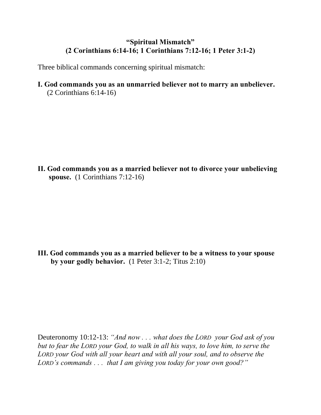# **"Spiritual Mismatch" (2 Corinthians 6:14-16; 1 Corinthians 7:12-16; 1 Peter 3:1-2)**

Three biblical commands concerning spiritual mismatch:

**I. God commands you as an unmarried believer not to marry an unbeliever.** (2 Corinthians 6:14-16)

**II. God commands you as a married believer not to divorce your unbelieving spouse.** (1 Corinthians 7:12-16)

**III. God commands you as a married believer to be a witness to your spouse by your godly behavior.** (1 Peter 3:1-2; Titus 2:10)

Deuteronomy 10:12-13: *"And now . . . what does the LORD your God ask of you but to fear the LORD your God, to walk in all his ways, to love him, to serve the LORD your God with all your heart and with all your soul, and to observe the LORD's commands . . . that I am giving you today for your own good?"*